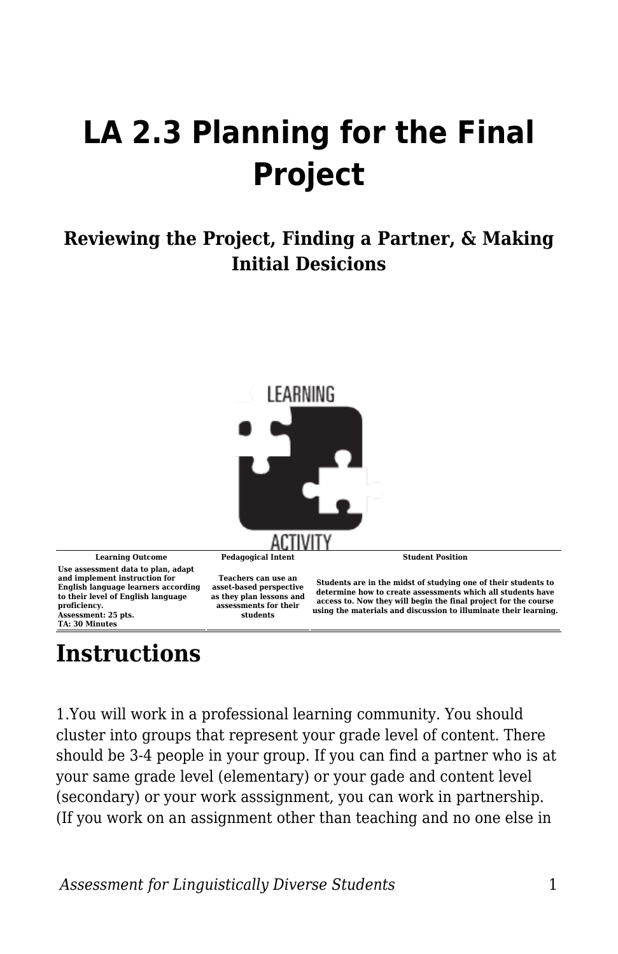## **LA 2.3 Planning for the Final Project**

## **Reviewing the Project, Finding a Partner, & Making Initial Desicions**



**Learning Outcome Pedagogical Intent Student Position Use assessment data to plan, adapt and implement instruction for English language learners according to their level of English language proficiency. Assessment: 25 pts. TA: 30 Minutes**

**Teachers can use an asset-based perspective as they plan lessons and assessments for their students**

**Students are in the midst of studying one of their students to determine how to create assessments which all students have access to. Now they will begin the final project for the course using the materials and discussion to illuminate their learning.**

## **Instructions**

1.You will work in a professional learning community. You should cluster into groups that represent your grade level of content. There should be 3-4 people in your group. If you can find a partner who is at your same grade level (elementary) or your gade and content level (secondary) or your work asssignment, you can work in partnership. (If you work on an assignment other than teaching and no one else in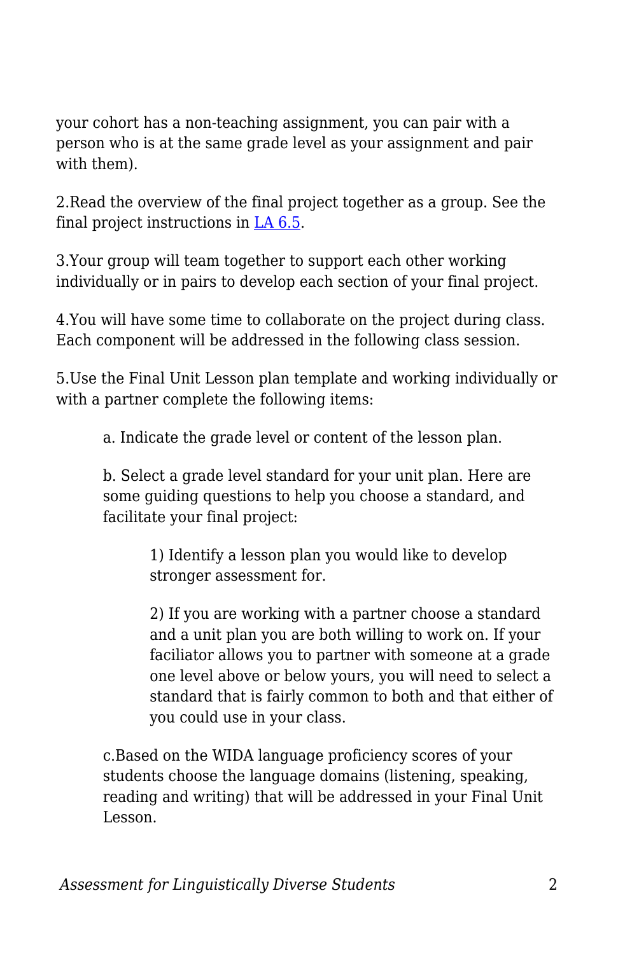your cohort has a non-teaching assignment, you can pair with a person who is at the same grade level as your assignment and pair with them).

2.Read the overview of the final project together as a group. See the final project instructions in [LA 6.5.](https://edtechbooks.org/diverse_assessment/la_65_final_project_)

3.Your group will team together to support each other working individually or in pairs to develop each section of your final project.

4.You will have some time to collaborate on the project during class. Each component will be addressed in the following class session.

5.Use the Final Unit Lesson plan template and working individually or with a partner complete the following items:

a. Indicate the grade level or content of the lesson plan.

b. Select a grade level standard for your unit plan. Here are some guiding questions to help you choose a standard, and facilitate your final project:

> 1) Identify a lesson plan you would like to develop stronger assessment for.

2) If you are working with a partner choose a standard and a unit plan you are both willing to work on. If your faciliator allows you to partner with someone at a grade one level above or below yours, you will need to select a standard that is fairly common to both and that either of you could use in your class.

c.Based on the WIDA language proficiency scores of your students choose the language domains (listening, speaking, reading and writing) that will be addressed in your Final Unit Lesson.